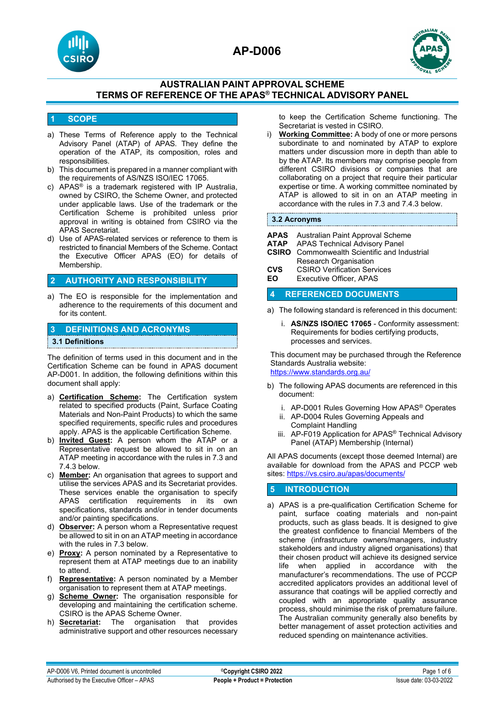



## **AUSTRALIAN PAINT APPROVAL SCHEME TERMS OF REFERENCE OF THE APAS® TECHNICAL ADVISORY PANEL**

### **1 SCOPE**

- a) These Terms of Reference apply to the Technical Advisory Panel (ATAP) of APAS. They define the operation of the ATAP, its composition, roles and responsibilities.
- b) This document is prepared in a manner compliant with the requirements of AS/NZS ISO/IEC 17065.
- c) APAS<sup>®</sup> is a trademark registered with IP Australia, owned by CSIRO, the Scheme Owner, and protected under applicable laws. Use of the trademark or the Certification Scheme is prohibited unless prior approval in writing is obtained from CSIRO via the APAS Secretariat.
- d) Use of APAS-related services or reference to them is restricted to financial Members of the Scheme. Contact the Executive Officer APAS (EO) for details of Membership.

### **2 AUTHORITY AND RESPONSIBILITY**

a) The EO is responsible for the implementation and adherence to the requirements of this document and for its content.

#### **3 DEFINITIONS AND ACRONYMS**

#### **3.1 Definitions**

The definition of terms used in this document and in the Certification Scheme can be found in APAS document AP-D001. In addition, the following definitions within this document shall apply:

- a) **Certification Scheme:** The Certification system related to specified products (Paint, Surface Coating Materials and Non-Paint Products) to which the same specified requirements, specific rules and procedures apply. APAS is the applicable Certification Scheme.
- b) **Invited Guest:** A person whom the ATAP or a Representative request be allowed to sit in on an ATAP meeting in accordance with the rules in 7.3 and 7.4.3 below.
- c) **Member:** An organisation that agrees to support and utilise the services APAS and its Secretariat provides. These services enable the organisation to specify APAS certification requirements in its own specifications, standards and/or in tender documents and/or painting specifications.
- d) **Observer:** A person whom a Representative request be allowed to sit in on an ATAP meeting in accordance with the rules in 7.3 below.
- e) **Proxy:** A person nominated by a Representative to represent them at ATAP meetings due to an inability to attend.
- f) **Representative:** A person nominated by a Member organisation to represent them at ATAP meetings.
- g) **Scheme Owner:** The organisation responsible for developing and maintaining the certification scheme. CSIRO is the APAS Scheme Owner.
- h) **Secretariat:** The organisation that provides administrative support and other resources necessary

to keep the Certification Scheme functioning. The Secretariat is vested in CSIRO.

i) **Working Committee:** A body of one or more persons subordinate to and nominated by ATAP to explore matters under discussion more in depth than able to by the ATAP. Its members may comprise people from different CSIRO divisions or companies that are collaborating on a project that require their particular expertise or time. A working committee nominated by ATAP is allowed to sit in on an ATAP meeting in accordance with the rules in 7.3 and 7.4.3 below.

#### **3.2 Acronyms**

- **APAS** Australian Paint Approval Scheme
- 
- **ATAP** APAS Technical Advisory Panel<br>**CSIRO** Commonwealth Scientific and In **Commonwealth Scientific and Industrial** Research Organisation
- **CVS** CSIRO Verification Services<br>**FO** Executive Officer APAS
- **Executive Officer, APAS**

#### **4 REFERENCED DOCUMENTS**

- a) The following standard is referenced in this document:
	- i. **AS/NZS ISO/IEC 17065** Conformity assessment: Requirements for bodies certifying products, processes and services.

This document may be purchased through the Reference Standards Australia website: <https://www.standards.org.au/>

- b) The following APAS documents are referenced in this document:
	- i. AP-D001 Rules Governing How APAS® Operates
	- ii. AP-D004 Rules Governing Appeals and Complaint Handling
	- iii. AP-F019 Application for APAS® Technical Advisory Panel (ATAP) Membership (Internal)

All APAS documents (except those deemed Internal) are available for download from the APAS and PCCP web sites[: https://vs.csiro.au/apas/documents/](https://vs.csiro.au/apas/documents/)

## **5 INTRODUCTION**

a) APAS is a pre-qualification Certification Scheme for paint, surface coating materials and non-paint products, such as glass beads. It is designed to give the greatest confidence to financial Members of the scheme (infrastructure owners/managers, industry stakeholders and industry aligned organisations) that their chosen product will achieve its designed service life when applied in accordance with the manufacturer's recommendations. The use of PCCP accredited applicators provides an additional level of assurance that coatings will be applied correctly and coupled with an appropriate quality assurance process, should minimise the risk of premature failure. The Australian community generally also benefits by better management of asset protection activities and reduced spending on maintenance activities.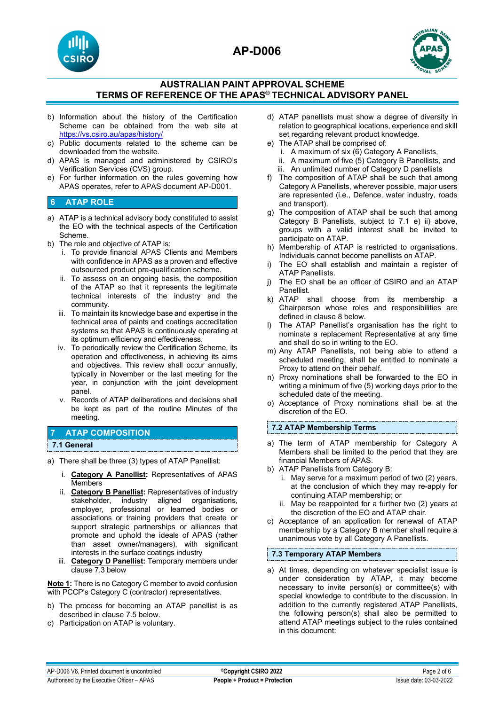



## **AUSTRALIAN PAINT APPROVAL SCHEME TERMS OF REFERENCE OF THE APAS® TECHNICAL ADVISORY PANEL**

- b) Information about the history of the Certification Scheme can be obtained from the web site at <https://vs.csiro.au/apas/history/>
- c) Public documents related to the scheme can be downloaded from the website.
- d) APAS is managed and administered by CSIRO's Verification Services (CVS) group.
- e) For further information on the rules governing how APAS operates, refer to APAS document AP-D001.

## **6 ATAP ROLE**

- a) ATAP is a technical advisory body constituted to assist the EO with the technical aspects of the Certification Scheme.
- b) The role and objective of ATAP is:
	- i. To provide financial APAS Clients and Members with confidence in APAS as a proven and effective outsourced product pre-qualification scheme.
	- ii. To assess on an ongoing basis, the composition of the ATAP so that it represents the legitimate technical interests of the industry and the community.
	- iii. To maintain its knowledge base and expertise in the technical area of paints and coatings accreditation systems so that APAS is continuously operating at its optimum efficiency and effectiveness.
	- iv. To periodically review the Certification Scheme, its operation and effectiveness, in achieving its aims and objectives. This review shall occur annually, typically in November or the last meeting for the year, in conjunction with the joint development panel.
	- v. Records of ATAP deliberations and decisions shall be kept as part of the routine Minutes of the meeting.

#### **7 ATAP COMPOSITION**

#### **7.1 General**

- a) There shall be three (3) types of ATAP Panellist:
	- i. **Category A Panellist:** Representatives of APAS Members
	- ii. **Category B Panellist:** Representatives of industry stakeholder, industry aligned organisations, employer, professional or learned bodies or associations or training providers that create or support strategic partnerships or alliances that promote and uphold the ideals of APAS (rather than asset owner/managers), with significant interests in the surface coatings industry
	- iii. **Category D Panellist:** Temporary members under clause 7.3 below

**Note 1:** There is no Category C member to avoid confusion with PCCP's Category C (contractor) representatives.

- b) The process for becoming an ATAP panellist is as described in clause 7.5 below.
- c) Participation on ATAP is voluntary.
- d) ATAP panellists must show a degree of diversity in relation to geographical locations, experience and skill set regarding relevant product knowledge.
- e) The ATAP shall be comprised of: i. A maximum of six (6) Category A Panellists, ii. A maximum of five (5) Category B Panellists, and
	- iii. An unlimited number of Category D panellists
- f) The composition of ATAP shall be such that among Category A Panellists, wherever possible, major users are represented (i.e., Defence, water industry, roads and transport).
- g) The composition of ATAP shall be such that among Category B Panellists, subject to 7.1 e) ii) above, groups with a valid interest shall be invited to participate on ATAP.
- h) Membership of ATAP is restricted to organisations. Individuals cannot become panellists on ATAP.
- The EO shall establish and maintain a register of ATAP Panellists.
- j) The EO shall be an officer of CSIRO and an ATAP Panellist.
- k) ATAP shall choose from its membership a Chairperson whose roles and responsibilities are defined in clause 8 below.
- l) The ATAP Panellist's organisation has the right to nominate a replacement Representative at any time and shall do so in writing to the EO.
- m) Any ATAP Panellists, not being able to attend a scheduled meeting, shall be entitled to nominate a Proxy to attend on their behalf.
- n) Proxy nominations shall be forwarded to the EO in writing a minimum of five (5) working days prior to the scheduled date of the meeting.
- o) Acceptance of Proxy nominations shall be at the discretion of the EO.

#### **7.2 ATAP Membership Terms**

- a) The term of ATAP membership for Category A Members shall be limited to the period that they are financial Members of APAS.
- b) ATAP Panellists from Category B:
	- i. May serve for a maximum period of two (2) years, at the conclusion of which they may re-apply for continuing ATAP membership; or
	- ii. May be reappointed for a further two (2) years at the discretion of the EO and ATAP chair.
- c) Acceptance of an application for renewal of ATAP membership by a Category B member shall require a unanimous vote by all Category A Panellists.

#### **7.3 Temporary ATAP Members**

a) At times, depending on whatever specialist issue is under consideration by ATAP, it may become necessary to invite person(s) or committee(s) with special knowledge to contribute to the discussion. In addition to the currently registered ATAP Panellists, the following person(s) shall also be permitted to attend ATAP meetings subject to the rules contained in this document: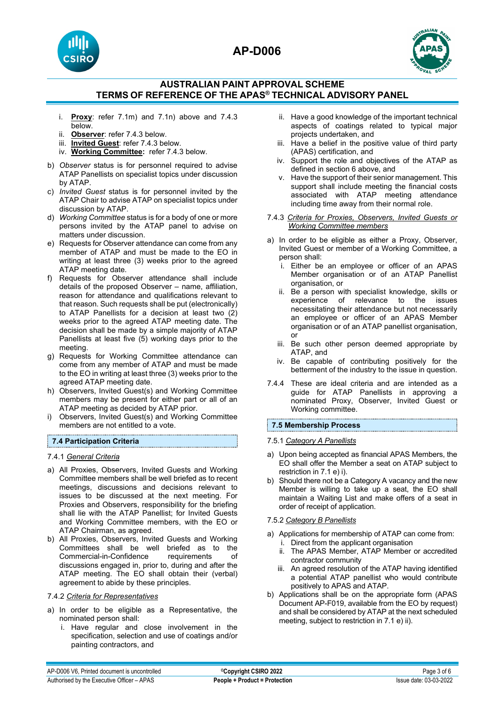



## **AUSTRALIAN PAINT APPROVAL SCHEME TERMS OF REFERENCE OF THE APAS® TECHNICAL ADVISORY PANEL**

- i. **Proxy**: refer 7.1m) and 7.1n) above and 7.4.3 below.
- ii. **Observer**: refer 7.4.3 below.
- iii. **Invited Guest**: refer 7.4.3 below.
- iv. **Working Committee:** refer 7.4.3 below.
- b) *Observer* status is for personnel required to advise ATAP Panellists on specialist topics under discussion by ATAP.
- c) *Invited Guest* status is for personnel invited by the ATAP Chair to advise ATAP on specialist topics under discussion by ATAP.
- d) *Working Committee* status is for a body of one or more persons invited by the ATAP panel to advise on matters under discussion.
- e) Requests for Observer attendance can come from any member of ATAP and must be made to the EO in writing at least three (3) weeks prior to the agreed ATAP meeting date.
- f) Requests for Observer attendance shall include details of the proposed Observer – name, affiliation, reason for attendance and qualifications relevant to that reason. Such requests shall be put (electronically) to ATAP Panellists for a decision at least two (2) weeks prior to the agreed ATAP meeting date. The decision shall be made by a simple majority of ATAP Panellists at least five (5) working days prior to the meeting.
- g) Requests for Working Committee attendance can come from any member of ATAP and must be made to the EO in writing at least three (3) weeks prior to the agreed ATAP meeting date.
- h) Observers, Invited Guest(s) and Working Committee members may be present for either part or all of an ATAP meeting as decided by ATAP prior.
- i) Observers, Invited Guest(s) and Working Committee members are not entitled to a vote.

## **7.4 Participation Criteria**

7.4.1 *General Criteria* 

- a) All Proxies, Observers, Invited Guests and Working Committee members shall be well briefed as to recent meetings, discussions and decisions relevant to issues to be discussed at the next meeting. For Proxies and Observers, responsibility for the briefing shall lie with the ATAP Panellist; for Invited Guests and Working Committee members, with the EO or ATAP Chairman, as agreed.
- b) All Proxies, Observers, Invited Guests and Working Committees shall be well briefed as to the<br>Commercial-in-Confidence requirements of Commercial-in-Confidence discussions engaged in, prior to, during and after the ATAP meeting. The EO shall obtain their (verbal) agreement to abide by these principles.

#### 7.4.2 *Criteria for Representatives*

- a) In order to be eligible as a Representative, the nominated person shall:
	- i. Have regular and close involvement in the specification, selection and use of coatings and/or painting contractors, and
- ii. Have a good knowledge of the important technical aspects of coatings related to typical major projects undertaken, and
- iii. Have a belief in the positive value of third party (APAS) certification, and
- iv. Support the role and objectives of the ATAP as defined in section 6 above, and
- v. Have the support of their senior management. This support shall include meeting the financial costs associated with ATAP meeting attendance including time away from their normal role.
- 7.4.3 *Criteria for Proxies, Observers, Invited Guests or Working Committee members*
- a) In order to be eligible as either a Proxy, Observer, Invited Guest or member of a Working Committee, a person shall:
	- i. Either be an employee or officer of an APAS Member organisation or of an ATAP Panellist organisation, or
	- ii. Be a person with specialist knowledge, skills or experience of relevance to the issues necessitating their attendance but not necessarily an employee or officer of an APAS Member organisation or of an ATAP panellist organisation, or
	- iii. Be such other person deemed appropriate by ATAP, and
	- iv. Be capable of contributing positively for the betterment of the industry to the issue in question.
- 7.4.4 These are ideal criteria and are intended as a guide for ATAP Panellists in approving a nominated Proxy, Observer, Invited Guest or Working committee.

#### **7.5 Membership Process**

#### 7.5.1 *Category A Panellists*

- a) Upon being accepted as financial APAS Members, the EO shall offer the Member a seat on ATAP subject to restriction in 7.1 e) i).
- b) Should there not be a Category A vacancy and the new Member is willing to take up a seat, the EO shall maintain a Waiting List and make offers of a seat in order of receipt of application.

#### 7.5.2 *Category B Panellists*

- a) Applications for membership of ATAP can come from: i. Direct from the applicant organisation
	- ii. The APAS Member, ATAP Member or accredited contractor community
	- iii. An agreed resolution of the ATAP having identified a potential ATAP panellist who would contribute positively to APAS and ATAP.
- b) Applications shall be on the appropriate form (APAS Document AP-F019, available from the EO by request) and shall be considered by ATAP at the next scheduled meeting, subject to restriction in 7.1 e) ii).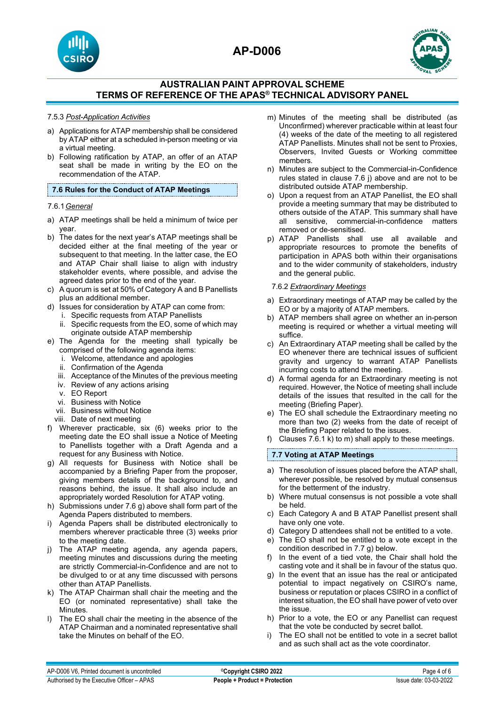





## **AUSTRALIAN PAINT APPROVAL SCHEME TERMS OF REFERENCE OF THE APAS® TECHNICAL ADVISORY PANEL**

#### 7.5.3 *Post-Application Activities*

- a) Applications for ATAP membership shall be considered by ATAP either at a scheduled in-person meeting or via a virtual meeting.
- b) Following ratification by ATAP, an offer of an ATAP seat shall be made in writing by the EO on the recommendation of the ATAP.

#### **7.6 Rules for the Conduct of ATAP Meetings**

#### 7.6.1*General*

- a) ATAP meetings shall be held a minimum of twice per year.
- b) The dates for the next year's ATAP meetings shall be decided either at the final meeting of the year or subsequent to that meeting. In the latter case, the EO and ATAP Chair shall liaise to align with industry stakeholder events, where possible, and advise the agreed dates prior to the end of the year.
- c) A quorum is set at 50% of Category A and B Panellists plus an additional member.
- d) Issues for consideration by ATAP can come from:
	- i. Specific requests from ATAP Panellists
		- ii. Specific requests from the EO, some of which may originate outside ATAP membership
- e) The Agenda for the meeting shall typically be comprised of the following agenda items:
	- i. Welcome, attendance and apologies
	- ii. Confirmation of the Agenda
	- iii. Acceptance of the Minutes of the previous meeting
	- iv. Review of any actions arising
	- v. EO Report
	- vi. Business with Notice
	- vii. Business without Notice
	- viii. Date of next meeting
- f) Wherever practicable, six (6) weeks prior to the meeting date the EO shall issue a Notice of Meeting to Panellists together with a Draft Agenda and a request for any Business with Notice.
- g) All requests for Business with Notice shall be accompanied by a Briefing Paper from the proposer, giving members details of the background to, and reasons behind, the issue. It shall also include an appropriately worded Resolution for ATAP voting.
- h) Submissions under 7.6 g) above shall form part of the Agenda Papers distributed to members.
- i) Agenda Papers shall be distributed electronically to members wherever practicable three (3) weeks prior to the meeting date.
- j) The ATAP meeting agenda, any agenda papers, meeting minutes and discussions during the meeting are strictly Commercial-in-Confidence and are not to be divulged to or at any time discussed with persons other than ATAP Panellists.
- k) The ATAP Chairman shall chair the meeting and the EO (or nominated representative) shall take the Minutes.
- l) The EO shall chair the meeting in the absence of the ATAP Chairman and a nominated representative shall take the Minutes on behalf of the EO.
- m) Minutes of the meeting shall be distributed (as Unconfirmed) wherever practicable within at least four (4) weeks of the date of the meeting to all registered ATAP Panellists. Minutes shall not be sent to Proxies, Observers, Invited Guests or Working committee members.
- n) Minutes are subject to the Commercial-in-Confidence rules stated in clause 7.6 j) above and are not to be distributed outside ATAP membership.
- o) Upon a request from an ATAP Panellist, the EO shall provide a meeting summary that may be distributed to others outside of the ATAP. This summary shall have all sensitive, commercial-in-confidence matters removed or de-sensitised.
- p) ATAP Panellists shall use all available and appropriate resources to promote the benefits of participation in APAS both within their organisations and to the wider community of stakeholders, industry and the general public.

#### 7.6.2 *Extraordinary Meetings*

- a) Extraordinary meetings of ATAP may be called by the EO or by a majority of ATAP members.
- b) ATAP members shall agree on whether an in-person meeting is required or whether a virtual meeting will suffice.
- c) An Extraordinary ATAP meeting shall be called by the EO whenever there are technical issues of sufficient gravity and urgency to warrant ATAP Panellists incurring costs to attend the meeting.
- d) A formal agenda for an Extraordinary meeting is not required. However, the Notice of meeting shall include details of the issues that resulted in the call for the meeting (Briefing Paper).
- e) The EO shall schedule the Extraordinary meeting no more than two (2) weeks from the date of receipt of the Briefing Paper related to the issues.
- f) Clauses 7.6.1 k) to m) shall apply to these meetings.

#### **7.7 Voting at ATAP Meetings**

- a) The resolution of issues placed before the ATAP shall, wherever possible, be resolved by mutual consensus for the betterment of the industry.
- b) Where mutual consensus is not possible a vote shall be held.
- c) Each Category A and B ATAP Panellist present shall have only one vote.
- d) Category D attendees shall not be entitled to a vote.
- e) The EO shall not be entitled to a vote except in the condition described in 7.7 g) below.
- f) In the event of a tied vote, the Chair shall hold the casting vote and it shall be in favour of the status quo.
- g) In the event that an issue has the real or anticipated potential to impact negatively on CSIRO's name, business or reputation or places CSIRO in a conflict of interest situation, the EO shall have power of veto over the issue.
- h) Prior to a vote, the EO or any Panellist can request that the vote be conducted by secret ballot.
- i) The EO shall not be entitled to vote in a secret ballot and as such shall act as the vote coordinator.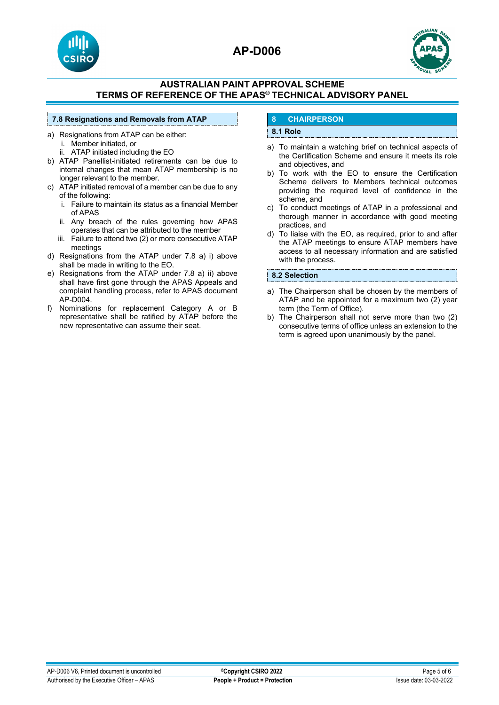



### **AUSTRALIAN PAINT APPROVAL SCHEME TERMS OF REFERENCE OF THE APAS® TECHNICAL ADVISORY PANEL**

#### **7.8 Resignations and Removals from ATAP**

- a) Resignations from ATAP can be either: i. Member initiated, or
	- ii. ATAP initiated including the EO
- b) ATAP Panellist-initiated retirements can be due to internal changes that mean ATAP membership is no longer relevant to the member.
- c) ATAP initiated removal of a member can be due to any of the following:
	- i. Failure to maintain its status as a financial Member of APAS
	- ii. Any breach of the rules governing how APAS operates that can be attributed to the member
	- iii. Failure to attend two (2) or more consecutive ATAP meetings
- d) Resignations from the ATAP under 7.8 a) i) above shall be made in writing to the EO.
- e) Resignations from the ATAP under 7.8 a) ii) above shall have first gone through the APAS Appeals and complaint handling process, refer to APAS document AP-D004.
- f) Nominations for replacement Category A or B representative shall be ratified by ATAP before the new representative can assume their seat.

## **8 CHAIRPERSON**

#### **8.1 Role**

- a) To maintain a watching brief on technical aspects of the Certification Scheme and ensure it meets its role and objectives, and
- b) To work with the EO to ensure the Certification Scheme delivers to Members technical outcomes providing the required level of confidence in the scheme, and
- c) To conduct meetings of ATAP in a professional and thorough manner in accordance with good meeting practices, and
- d) To liaise with the EO, as required, prior to and after the ATAP meetings to ensure ATAP members have access to all necessary information and are satisfied with the process.

#### **8.2 Selection**

- a) The Chairperson shall be chosen by the members of ATAP and be appointed for a maximum two (2) year term (the Term of Office).
- b) The Chairperson shall not serve more than two (2) consecutive terms of office unless an extension to the term is agreed upon unanimously by the panel.